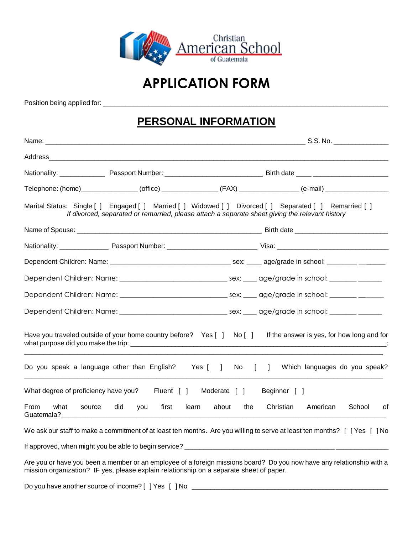

# **APPLICATION FORM**

Position being applied for: \_\_\_\_\_\_\_\_\_\_\_\_\_\_\_\_\_\_\_\_\_\_\_\_\_\_\_\_\_\_\_\_\_\_\_\_\_\_\_\_\_\_\_\_\_\_\_\_\_\_\_\_\_\_\_\_\_\_\_\_\_\_\_\_\_\_\_\_\_\_\_\_\_\_\_\_\_

#### **PERSONAL INFORMATION**

|                                                               |                                                                                         |                         | Telephone: (home)________________(office)_______________(FAX)_______________(e-mail)________________                                                                                                       |
|---------------------------------------------------------------|-----------------------------------------------------------------------------------------|-------------------------|------------------------------------------------------------------------------------------------------------------------------------------------------------------------------------------------------------|
|                                                               |                                                                                         |                         | Marital Status: Single [ ] Engaged [ ] Married [ ] Widowed [ ] Divorced [ ] Separated [ ] Remarried [ ]<br>If divorced, separated or remarried, please attach a separate sheet giving the relevant history |
|                                                               |                                                                                         |                         |                                                                                                                                                                                                            |
|                                                               |                                                                                         |                         |                                                                                                                                                                                                            |
|                                                               |                                                                                         |                         |                                                                                                                                                                                                            |
|                                                               |                                                                                         |                         |                                                                                                                                                                                                            |
|                                                               |                                                                                         |                         |                                                                                                                                                                                                            |
|                                                               |                                                                                         |                         | Dependent Children: Name: ___________________________________sex: _____ age/grade in school: _______ ________                                                                                              |
|                                                               | Have you traveled outside of your home country before? Yes [ ] No [ ]                   |                         | If the answer is yes, for how long and for                                                                                                                                                                 |
|                                                               | Do you speak a language other than English? Yes [ ]                                     | $No$ $\lceil$ $\rceil$  | Which languages do you speak?                                                                                                                                                                              |
| What degree of proficiency have you?                          |                                                                                         | Fluent [ ] Moderate [ ] | Beginner [ ]                                                                                                                                                                                               |
| <b>From</b><br>what<br>source<br>Guatemala? <b>Example 20</b> | did<br>first<br>you                                                                     | learn<br>about<br>the   | Christian<br>American<br>School<br>οf                                                                                                                                                                      |
|                                                               |                                                                                         |                         | We ask our staff to make a commitment of at least ten months. Are you willing to serve at least ten months? [ ] Yes [ ] No                                                                                 |
|                                                               |                                                                                         |                         |                                                                                                                                                                                                            |
|                                                               | mission organization? IF yes, please explain relationship on a separate sheet of paper. |                         | Are you or have you been a member or an employee of a foreign missions board? Do you now have any relationship with a                                                                                      |

Do you have another source of income? [ ] Yes [ ] No \_\_\_\_\_\_\_\_\_\_\_\_\_\_\_\_\_\_\_\_\_\_\_\_\_\_\_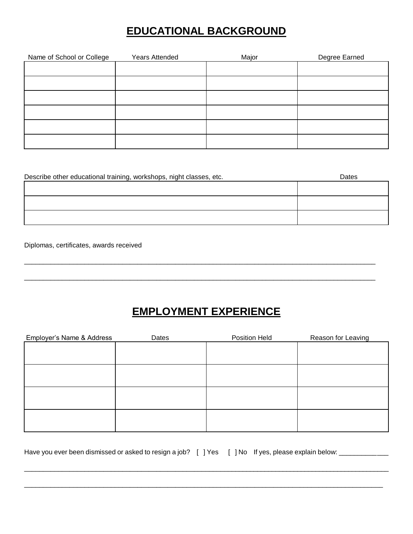### **EDUCATIONAL BACKGROUND**

| Name of School or College | <b>Years Attended</b> | Major | Degree Earned |
|---------------------------|-----------------------|-------|---------------|
|                           |                       |       |               |
|                           |                       |       |               |
|                           |                       |       |               |
|                           |                       |       |               |
|                           |                       |       |               |
|                           |                       |       |               |
|                           |                       |       |               |
|                           |                       |       |               |
|                           |                       |       |               |

| Describe other educational training, workshops, night classes, etc. | Dates |
|---------------------------------------------------------------------|-------|
|                                                                     |       |
|                                                                     |       |
|                                                                     |       |
|                                                                     |       |
|                                                                     |       |

Diplomas, certificates, awards received

## **EMPLOYMENT EXPERIENCE**

\_\_\_\_\_\_\_\_\_\_\_\_\_\_\_\_\_\_\_\_\_\_\_\_\_\_\_\_\_\_\_\_\_\_\_\_\_\_\_\_\_\_\_\_\_\_\_\_\_\_\_\_\_\_\_\_\_\_\_\_\_\_\_\_\_\_\_\_\_\_\_\_\_\_\_\_\_\_\_\_\_\_\_\_\_\_\_\_\_\_\_\_\_

\_\_\_\_\_\_\_\_\_\_\_\_\_\_\_\_\_\_\_\_\_\_\_\_\_\_\_\_\_\_\_\_\_\_\_\_\_\_\_\_\_\_\_\_\_\_\_\_\_\_\_\_\_\_\_\_\_\_\_\_\_\_\_\_\_\_\_\_\_\_\_\_\_\_\_\_\_\_\_\_\_\_\_\_\_\_\_\_\_\_\_\_\_

| Employer's Name & Address | Dates | Position Held | Reason for Leaving |
|---------------------------|-------|---------------|--------------------|
|                           |       |               |                    |
|                           |       |               |                    |
|                           |       |               |                    |
|                           |       |               |                    |
|                           |       |               |                    |
|                           |       |               |                    |
|                           |       |               |                    |
|                           |       |               |                    |

 $\Box$ 

\_\_\_\_\_\_\_\_\_\_\_\_\_\_\_\_\_\_\_\_\_\_\_\_\_\_\_\_\_\_\_\_\_\_\_\_\_\_\_\_\_\_\_\_\_\_\_\_\_\_\_\_\_\_\_\_\_\_\_\_\_\_\_\_\_\_\_\_\_\_\_\_\_\_\_\_\_\_\_\_\_\_\_\_\_\_\_\_\_\_\_\_\_\_\_

Have you ever been dismissed or asked to resign a job? [ ] Yes [ ] No If yes, please explain below: \_\_\_\_\_\_\_\_\_\_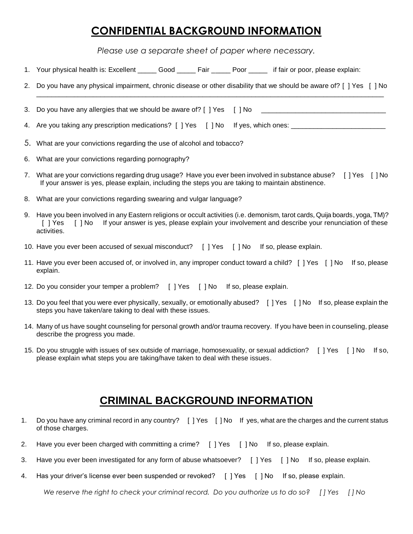#### **CONFIDENTIAL BACKGROUND INFORMATION**

*Please use a separate sheet of paper where necessary.*

|    | 1. Your physical health is: Excellent ______ Good ______ Fair ______ Poor ______ if fair or poor, please explain:                                                                                                                                                   |
|----|---------------------------------------------------------------------------------------------------------------------------------------------------------------------------------------------------------------------------------------------------------------------|
| 2. | Do you have any physical impairment, chronic disease or other disability that we should be aware of? [ ] Yes [ ] No                                                                                                                                                 |
| 3. | Do you have any allergies that we should be aware of? [ ] Yes [ ] No                                                                                                                                                                                                |
|    | 4. Are you taking any prescription medications? [ ] Yes [ ] No If yes, which ones:                                                                                                                                                                                  |
|    | 5. What are your convictions regarding the use of alcohol and tobacco?                                                                                                                                                                                              |
|    | 6. What are your convictions regarding pornography?                                                                                                                                                                                                                 |
|    | 7. What are your convictions regarding drug usage? Have you ever been involved in substance abuse? [] Yes [] No<br>If your answer is yes, please explain, including the steps you are taking to maintain abstinence.                                                |
|    | 8. What are your convictions regarding swearing and vulgar language?                                                                                                                                                                                                |
|    | 9. Have you been involved in any Eastern religions or occult activities (i.e. demonism, tarot cards, Quija boards, yoga, TM)?<br>If your answer is yes, please explain your involvement and describe your renunciation of these<br>[ ] Yes<br>[ ] No<br>activities. |
|    | 10. Have you ever been accused of sexual misconduct? [ ] Yes [ ] No If so, please explain.                                                                                                                                                                          |
|    | 11. Have you ever been accused of, or involved in, any improper conduct toward a child? [] Yes [] No<br>If so, please<br>explain.                                                                                                                                   |
|    | 12. Do you consider your temper a problem? [ ] Yes [ ] No If so, please explain.                                                                                                                                                                                    |
|    | 13. Do you feel that you were ever physically, sexually, or emotionally abused? [] Yes [] No If so, please explain the<br>steps you have taken/are taking to deal with these issues.                                                                                |

- 14. Many of us have sought counseling for personal growth and/or trauma recovery. If you have been in counseling, please describe the progress you made.
- 15. Do you struggle with issues of sex outside of marriage, homosexuality, or sexual addiction? [ ] Yes [ ] No If so, please explain what steps you are taking/have taken to deal with these issues.

### **CRIMINAL BACKGROUND INFORMATION**

- 1. Do you have any criminal record in any country? [ ] Yes [ ] No If yes, what are the charges and the current status of those charges.
- 2. Have you ever been charged with committing a crime? [ ] Yes [ ] No If so, please explain.
- 3. Have you ever been investigated for any form of abuse whatsoever? [ ] Yes [ ] No If so, please explain.
- 4. Has your driver's license ever been suspended or revoked? [ ] Yes [ ] No If so, please explain.

*We reserve the right to check your criminal record. Do you authorize us to do so? [ ] Yes [ ] No*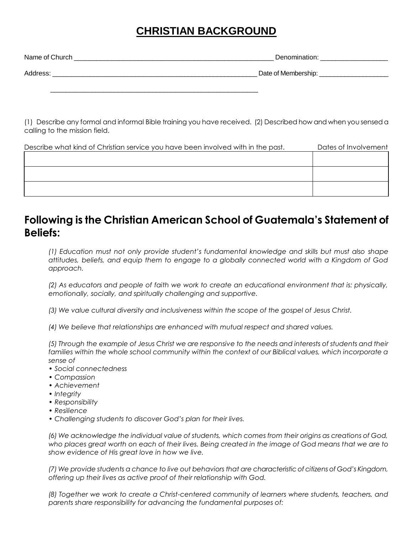### **CHRISTIAN BACKGROUND**

| Name of Church | ിലെറസ<br>unn.       |
|----------------|---------------------|
| Address        | Date of Membership: |

\_\_\_\_\_\_\_\_\_\_\_\_\_\_\_\_\_\_\_\_\_\_\_\_\_\_\_\_\_\_\_\_\_\_\_\_\_\_\_\_\_\_\_\_\_\_\_\_\_\_\_\_\_\_\_

(1) Describe any formal and informal Bible training you have received. (2) Described how and when you sensed a calling to the mission field.

| Describe what kind of Christian service you have been involved with in the past. | Dates of Involvement |
|----------------------------------------------------------------------------------|----------------------|
|                                                                                  |                      |
|                                                                                  |                      |
|                                                                                  |                      |
|                                                                                  |                      |
|                                                                                  |                      |

#### **Following is the Christian American School of Guatemala's Statement of Beliefs:**

*(1) Education must not only provide student's fundamental knowledge and skills but must also shape attitudes, beliefs, and equip them to engage to a globally connected world with a Kingdom of God approach.*

*(2) As educators and people of faith we work to create an educational environment that is: physically, emotionally, socially, and spiritually challenging and supportive.*

*(3) We value cultural diversity and inclusiveness within the scope of the gospel of Jesus Christ.*

*(4) We believe that relationships are enhanced with mutual respect and shared values.*

*(5) Through the example of Jesus Christ we are responsive to the needs and interests of students and their families within the whole school community within the context of our Biblical values, which incorporate a sense of* 

- *• Social connectedness*
- *• Compassion*
- *• Achievement*
- *• Integrity*
- *• Responsibility*
- *• Resilience*
- *• Challenging students to discover God's plan for their lives.*

*(6) We acknowledge the individual value of students, which comes from their origins as creations of God, who places great worth on each of their lives. Being created in the image of God means that we are to show evidence of His great love in how we live.*

*(7) We provide students a chance to live out behaviors that are characteristic of citizens of God's Kingdom, offering up their lives as active proof of their relationship with God.*

*(8) Together we work to create a Christ-centered community of learners where students, teachers, and parents share responsibility for advancing the fundamental purposes of:*